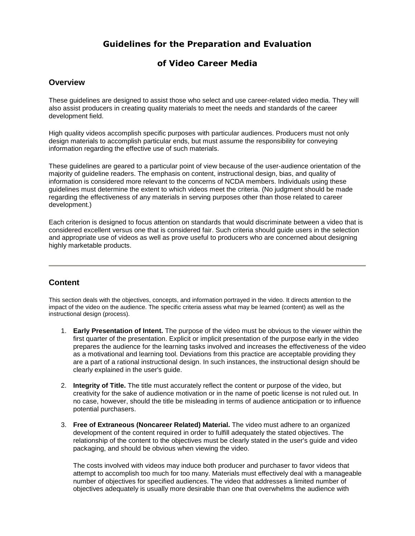# **Guidelines for the Preparation and Evaluation**

# **of Video Career Media**

## **Overview**

These guidelines are designed to assist those who select and use career-related video media. They will also assist producers in creating quality materials to meet the needs and standards of the career development field.

High quality videos accomplish specific purposes with particular audiences. Producers must not only design materials to accomplish particular ends, but must assume the responsibility for conveying information regarding the effective use of such materials.

These guidelines are geared to a particular point of view because of the user-audience orientation of the majority of guideline readers. The emphasis on content, instructional design, bias, and quality of information is considered more relevant to the concerns of NCDA members. Individuals using these guidelines must determine the extent to which videos meet the criteria. (No judgment should be made regarding the effectiveness of any materials in serving purposes other than those related to career development.)

Each criterion is designed to focus attention on standards that would discriminate between a video that is considered excellent versus one that is considered fair. Such criteria should guide users in the selection and appropriate use of videos as well as prove useful to producers who are concerned about designing highly marketable products.

# **Content**

This section deals with the objectives, concepts, and information portrayed in the video. It directs attention to the impact of the video on the audience. The specific criteria assess what may be learned (content) as well as the instructional design (process).

- 1. **Early Presentation of Intent.** The purpose of the video must be obvious to the viewer within the first quarter of the presentation. Explicit or implicit presentation of the purpose early in the video prepares the audience for the learning tasks involved and increases the effectiveness of the video as a motivational and learning tool. Deviations from this practice are acceptable providing they are a part of a rational instructional design. In such instances, the instructional design should be clearly explained in the user's guide.
- 2. **Integrity of Title.** The title must accurately reflect the content or purpose of the video, but creativity for the sake of audience motivation or in the name of poetic license is not ruled out. In no case, however, should the title be misleading in terms of audience anticipation or to influence potential purchasers.
- 3. **Free of Extraneous (Noncareer Related) Material.** The video must adhere to an organized development of the content required in order to fulfill adequately the stated objectives. The relationship of the content to the objectives must be clearly stated in the user's guide and video packaging, and should be obvious when viewing the video.

The costs involved with videos may induce both producer and purchaser to favor videos that attempt to accomplish too much for too many. Materials must effectively deal with a manageable number of objectives for specified audiences. The video that addresses a limited number of objectives adequately is usually more desirable than one that overwhelms the audience with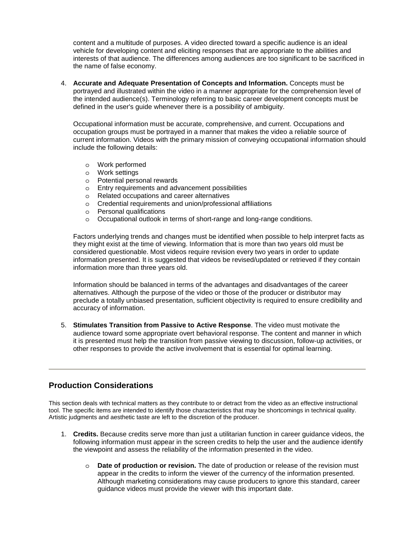content and a multitude of purposes. A video directed toward a specific audience is an ideal vehicle for developing content and eliciting responses that are appropriate to the abilities and interests of that audience. The differences among audiences are too significant to be sacrificed in the name of false economy.

4. **Accurate and Adequate Presentation of Concepts and Information.** Concepts must be portrayed and illustrated within the video in a manner appropriate for the comprehension level of the intended audience(s). Terminology referring to basic career development concepts must be defined in the user's guide whenever there is a possibility of ambiguity.

Occupational information must be accurate, comprehensive, and current. Occupations and occupation groups must be portrayed in a manner that makes the video a reliable source of current information. Videos with the primary mission of conveying occupational information should include the following details:

- o Work performed
- o Work settings
- o Potential personal rewards
- o Entry requirements and advancement possibilities
- o Related occupations and career alternatives
- o Credential requirements and union/professional affiliations
- o Personal qualifications
- o Occupational outlook in terms of short-range and long-range conditions.

Factors underlying trends and changes must be identified when possible to help interpret facts as they might exist at the time of viewing. Information that is more than two years old must be considered questionable. Most videos require revision every two years in order to update information presented. It is suggested that videos be revised/updated or retrieved if they contain information more than three years old.

Information should be balanced in terms of the advantages and disadvantages of the career alternatives. Although the purpose of the video or those of the producer or distributor may preclude a totally unbiased presentation, sufficient objectivity is required to ensure credibility and accuracy of information.

5. **Stimulates Transition from Passive to Active Response**. The video must motivate the audience toward some appropriate overt behavioral response. The content and manner in which it is presented must help the transition from passive viewing to discussion, follow-up activities, or other responses to provide the active involvement that is essential for optimal learning.

# **Production Considerations**

This section deals with technical matters as they contribute to or detract from the video as an effective instructional tool. The specific items are intended to identify those characteristics that may be shortcomings in technical quality. Artistic judgments and aesthetic taste are left to the discretion of the producer.

- 1. **Credits.** Because credits serve more than just a utilitarian function in career guidance videos, the following information must appear in the screen credits to help the user and the audience identify the viewpoint and assess the reliability of the information presented in the video.
	- o **Date of production or revision.** The date of production or release of the revision must appear in the credits to inform the viewer of the currency of the information presented. Although marketing considerations may cause producers to ignore this standard, career guidance videos must provide the viewer with this important date.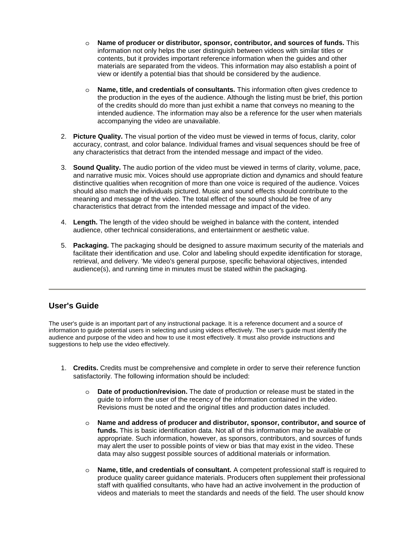- o **Name of producer or distributor, sponsor, contributor, and sources of funds.** This information not only helps the user distinguish between videos with similar titles or contents, but it provides important reference information when the guides and other materials are separated from the videos. This information may also establish a point of view or identify a potential bias that should be considered by the audience.
- o **Name, title, and credentials of consultants.** This information often gives credence to the production in the eyes of the audience. Although the listing must be brief, this portion of the credits should do more than just exhibit a name that conveys no meaning to the intended audience. The information may also be a reference for the user when materials accompanying the video are unavailable.
- 2. **Picture Quality.** The visual portion of the video must be viewed in terms of focus, clarity, color accuracy, contrast, and color balance. Individual frames and visual sequences should be free of any characteristics that detract from the intended message and impact of the video.
- 3. **Sound Quality.** The audio portion of the video must be viewed in terms of clarity, volume, pace, and narrative music mix. Voices should use appropriate diction and dynamics and should feature distinctive qualities when recognition of more than one voice is required of the audience. Voices should also match the individuals pictured. Music and sound effects should contribute to the meaning and message of the video. The total effect of the sound should be free of any characteristics that detract from the intended message and impact of the video.
- 4. **Length.** The length of the video should be weighed in balance with the content, intended audience, other technical considerations, and entertainment or aesthetic value.
- 5. **Packaging.** The packaging should be designed to assure maximum security of the materials and facilitate their identification and use. Color and labeling should expedite identification for storage, retrieval, and delivery. 'Me video's general purpose, specific behavioral objectives, intended audience(s), and running time in minutes must be stated within the packaging.

# **User's Guide**

The user's guide is an important part of any instructional package. It is a reference document and a source of information to guide potential users in selecting and using videos effectively. The user's guide must identify the audience and purpose of the video and how to use it most effectively. It must also provide instructions and suggestions to help use the video effectively.

- 1. **Credits.** Credits must be comprehensive and complete in order to serve their reference function satisfactorily. The following information should be included:
	- o **Date of production/revision.** The date of production or release must be stated in the guide to inform the user of the recency of the information contained in the video. Revisions must be noted and the original titles and production dates included.
	- o **Name and address of producer and distributor, sponsor, contributor, and source of funds.** This is basic identification data. Not all of this information may be available or appropriate. Such information, however, as sponsors, contributors, and sources of funds may alert the user to possible points of view or bias that may exist in the video. These data may also suggest possible sources of additional materials or information.
	- o **Name, title, and credentials of consultant.** A competent professional staff is required to produce quality career guidance materials. Producers often supplement their professional staff with qualified consultants, who have had an active involvement in the production of videos and materials to meet the standards and needs of the field. The user should know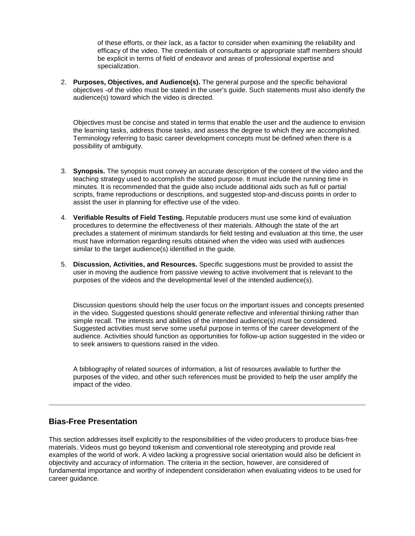of these efforts, or their lack, as a factor to consider when examining the reliability and efficacy of the video. The credentials of consultants or appropriate staff members should be explicit in terms of field of endeavor and areas of professional expertise and specialization.

2. **Purposes, Objectives, and Audience(s).** The general purpose and the specific behavioral objectives -of the video must be stated in the user's guide. Such statements must also identify the audience(s) toward which the video is directed.

Objectives must be concise and stated in terms that enable the user and the audience to envision the learning tasks, address those tasks, and assess the degree to which they are accomplished. Terminology referring to basic career development concepts must be defined when there is a possibility of ambiguity.

- 3. **Synopsis.** The synopsis must convey an accurate description of the content of the video and the teaching strategy used to accomplish the stated purpose. It must include the running time in minutes. It is recommended that the guide also include additional aids such as full or partial scripts, frame reproductions or descriptions, and suggested stop-and-discuss points in order to assist the user in planning for effective use of the video.
- 4. **Verifiable Results of Field Testing.** Reputable producers must use some kind of evaluation procedures to determine the effectiveness of their materials. Although the state of the art precludes a statement of minimum standards for field testing and evaluation at this time, the user must have information regarding results obtained when the video was used with audiences similar to the target audience(s) identified in the guide.
- 5. **Discussion, Activities, and Resources.** Specific suggestions must be provided to assist the user in moving the audience from passive viewing to active involvement that is relevant to the purposes of the videos and the developmental level of the intended audience(s).

Discussion questions should help the user focus on the important issues and concepts presented in the video. Suggested questions should generate reflective and inferential thinking rather than simple recall. The interests and abilities of the intended audience(s) must be considered. Suggested activities must serve some useful purpose in terms of the career development of the audience. Activities should function as opportunities for follow-up action suggested in the video or to seek answers to questions raised in the video.

A bibliography of related sources of information, a list of resources available to further the purposes of the video, and other such references must be provided to help the user amplify the impact of the video.

## **Bias-Free Presentation**

This section addresses itself explicitly to the responsibilities of the video producers to produce bias-free materials. Videos must go beyond tokenism and conventional role stereotyping and provide real examples of the world of work. A video lacking a progressive social orientation would also be deficient in objectivity and accuracy of information. The criteria in the section, however, are considered of fundamental importance and worthy of independent consideration when evaluating videos to be used for career guidance.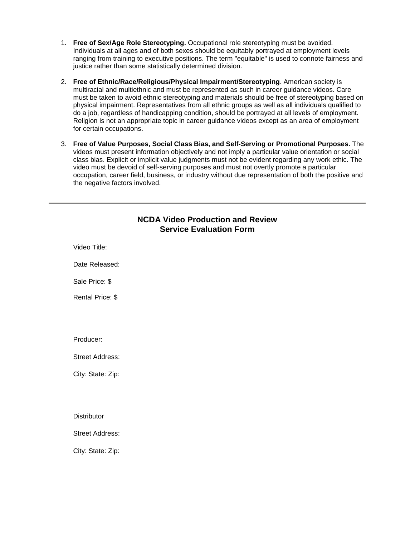- 1. **Free of Sex/Age Role Stereotyping.** Occupational role stereotyping must be avoided. Individuals at all ages and of both sexes should be equitably portrayed at employment levels ranging from training to executive positions. The term "equitable" is used to connote fairness and justice rather than some statistically determined division.
- 2. **Free of Ethnic/Race/Religious/Physical Impairment/Stereotyping**. American society is multiracial and multiethnic and must be represented as such in career guidance videos. Care must be taken to avoid ethnic stereotyping and materials should be free of stereotyping based on physical impairment. Representatives from all ethnic groups as well as all individuals qualified to do a job, regardless of handicapping condition, should be portrayed at all levels of employment. Religion is not an appropriate topic in career guidance videos except as an area of employment for certain occupations.
- 3. **Free of Value Purposes, Social Class Bias, and Self-Serving or Promotional Purposes.** The videos must present information objectively and not imply a particular value orientation or social class bias. Explicit or implicit value judgments must not be evident regarding any work ethic. The video must be devoid of self-serving purposes and must not overtly promote a particular occupation, career field, business, or industry without due representation of both the positive and the negative factors involved.

## **NCDA Video Production and Review Service Evaluation Form**

Video Title: Date Released: Sale Price: \$ Rental Price: \$ Producer: Street Address: City: State: Zip: **Distributor** Street Address:

City: State: Zip: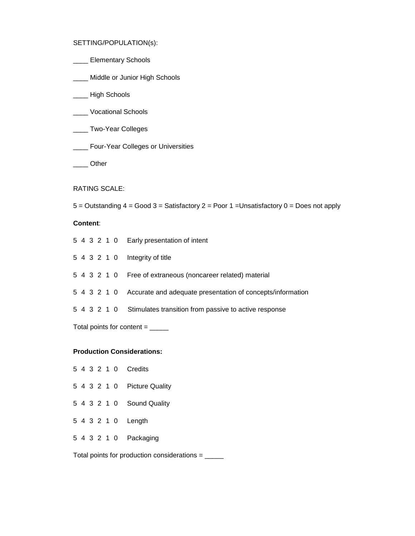SETTING/POPULATION(s):

- **\_\_\_\_\_** Elementary Schools
- \_\_\_\_ Middle or Junior High Schools
- \_\_\_\_ High Schools
- \_\_\_\_ Vocational Schools
- \_\_\_\_ Two-Year Colleges
- \_\_\_\_ Four-Year Colleges or Universities
- \_\_\_\_ Other

RATING SCALE:

 $5 =$  Outstanding  $4 =$  Good  $3 =$  Satisfactory  $2 =$  Poor  $1 =$ Unsatisfactory  $0 =$  Does not apply

### **Content**:

|                                    |  |  |  |  |  | 5 4 3 2 1 0 Early presentation of intent                               |
|------------------------------------|--|--|--|--|--|------------------------------------------------------------------------|
|                                    |  |  |  |  |  | 5 4 3 2 1 0 Integrity of title                                         |
|                                    |  |  |  |  |  | 5 4 3 2 1 0 Free of extraneous (noncareer related) material            |
|                                    |  |  |  |  |  | 5 4 3 2 1 0 Accurate and adequate presentation of concepts/information |
|                                    |  |  |  |  |  | 5 4 3 2 1 0 Stimulates transition from passive to active response      |
| Total points for content $=$ _____ |  |  |  |  |  |                                                                        |

#### **Production Considerations:**

|  |  |  | 5 4 3 2 1 0 Credits         |
|--|--|--|-----------------------------|
|  |  |  | 5 4 3 2 1 0 Picture Quality |
|  |  |  | 5 4 3 2 1 0 Sound Quality   |
|  |  |  | 5 4 3 2 1 0 Length          |
|  |  |  | 5 4 3 2 1 0 Packaging       |
|  |  |  |                             |

Total points for production considerations = \_\_\_\_\_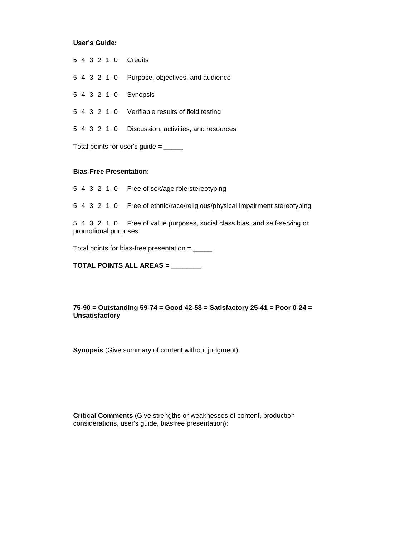### **User's Guide:**

|  |  |  | 5 4 3 2 1 0 Credits                               |
|--|--|--|---------------------------------------------------|
|  |  |  | 5 4 3 2 1 0 Purpose, objectives, and audience     |
|  |  |  | 5 4 3 2 1 0 Synopsis                              |
|  |  |  | 5 4 3 2 1 0 Verifiable results of field testing   |
|  |  |  | 5 4 3 2 1 0 Discussion, activities, and resources |
|  |  |  |                                                   |

Total points for user's guide  $=$  \_\_\_\_\_

#### **Bias-Free Presentation:**

5 4 3 2 1 0 Free of sex/age role stereotyping

5 4 3 2 1 0 Free of ethnic/race/religious/physical impairment stereotyping

5 4 3 2 1 0 Free of value purposes, social class bias, and self-serving or promotional purposes

Total points for bias-free presentation  $=$  \_\_\_\_\_\_

**TOTAL POINTS ALL AREAS = \_\_\_\_\_\_\_\_**

**75-90 = Outstanding 59-74 = Good 42-58 = Satisfactory 25-41 = Poor 0-24 = Unsatisfactory**

**Synopsis** (Give summary of content without judgment):

**Critical Comments** (Give strengths or weaknesses of content, production considerations, user's guide, biasfree presentation):